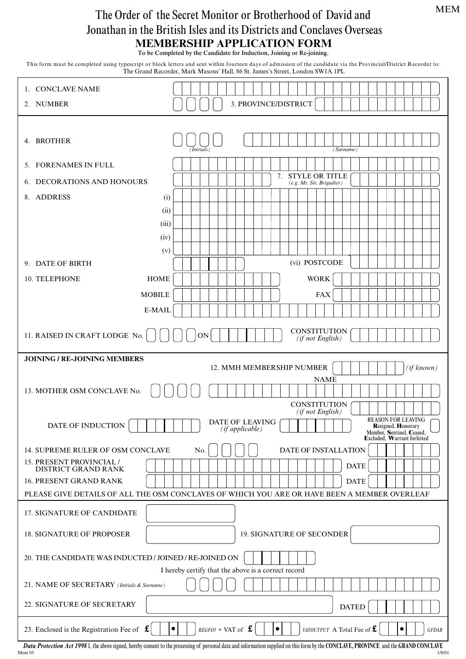## MEM

## **MEMBERSHIP APPLICATION FORM** The Order of the Secret Monitor or Brotherhood of David and Jonathan in the British Isles and its Districts and Conclaves Overseas

To be Completed by the Candidate for Induction, Joining or Re-joining.

This form must be completed using typescript or block letters and sent within fourteen days of admission of the candidate via the Provincial/District Recorder to: The Grand Recorder, Mark Masons' Hall, 86 St. James's Street, London SW1A 1PL

| 3. PROVINCE/DISTRICT<br>2. NUMBER<br>4. BROTHER<br>(Initials)<br>(Surname)<br>5. FORENAMES IN FULL<br><b>STYLE OR TITLE</b><br>7.<br>6. DECORATIONS AND HONOURS<br>(e.g. Mr, Sir, Brigadier)<br>8. ADDRESS<br>(i)<br>(ii)<br>(iii)<br>(iv)<br>(v)<br>(vi) POSTCODE<br>9. DATE OF BIRTH<br>10. TELEPHONE<br><b>HOME</b><br><b>WORK</b><br><b>MOBILE</b><br><b>FAX</b><br>E-MAIL<br><b>CONSTITUTION</b><br>11. RAISED IN CRAFT LODGE No.<br><b>ON</b><br>(if not English)<br><b>JOINING / RE-JOINING MEMBERS</b><br>12. MMH MEMBERSHIP NUMBER<br>(if known)<br><b>NAME</b><br>13. MOTHER OSM CONCLAVE No.<br><b>CONSTITUTION</b><br>(if not English)<br><b>REASON FOR LEAVING</b><br>DATE OF LEAVING |
|----------------------------------------------------------------------------------------------------------------------------------------------------------------------------------------------------------------------------------------------------------------------------------------------------------------------------------------------------------------------------------------------------------------------------------------------------------------------------------------------------------------------------------------------------------------------------------------------------------------------------------------------------------------------------------------------------|
|                                                                                                                                                                                                                                                                                                                                                                                                                                                                                                                                                                                                                                                                                                    |
|                                                                                                                                                                                                                                                                                                                                                                                                                                                                                                                                                                                                                                                                                                    |
|                                                                                                                                                                                                                                                                                                                                                                                                                                                                                                                                                                                                                                                                                                    |
|                                                                                                                                                                                                                                                                                                                                                                                                                                                                                                                                                                                                                                                                                                    |
|                                                                                                                                                                                                                                                                                                                                                                                                                                                                                                                                                                                                                                                                                                    |
|                                                                                                                                                                                                                                                                                                                                                                                                                                                                                                                                                                                                                                                                                                    |
|                                                                                                                                                                                                                                                                                                                                                                                                                                                                                                                                                                                                                                                                                                    |
|                                                                                                                                                                                                                                                                                                                                                                                                                                                                                                                                                                                                                                                                                                    |
|                                                                                                                                                                                                                                                                                                                                                                                                                                                                                                                                                                                                                                                                                                    |
|                                                                                                                                                                                                                                                                                                                                                                                                                                                                                                                                                                                                                                                                                                    |
|                                                                                                                                                                                                                                                                                                                                                                                                                                                                                                                                                                                                                                                                                                    |
|                                                                                                                                                                                                                                                                                                                                                                                                                                                                                                                                                                                                                                                                                                    |
|                                                                                                                                                                                                                                                                                                                                                                                                                                                                                                                                                                                                                                                                                                    |
|                                                                                                                                                                                                                                                                                                                                                                                                                                                                                                                                                                                                                                                                                                    |
|                                                                                                                                                                                                                                                                                                                                                                                                                                                                                                                                                                                                                                                                                                    |
|                                                                                                                                                                                                                                                                                                                                                                                                                                                                                                                                                                                                                                                                                                    |
|                                                                                                                                                                                                                                                                                                                                                                                                                                                                                                                                                                                                                                                                                                    |
|                                                                                                                                                                                                                                                                                                                                                                                                                                                                                                                                                                                                                                                                                                    |
|                                                                                                                                                                                                                                                                                                                                                                                                                                                                                                                                                                                                                                                                                                    |
|                                                                                                                                                                                                                                                                                                                                                                                                                                                                                                                                                                                                                                                                                                    |
|                                                                                                                                                                                                                                                                                                                                                                                                                                                                                                                                                                                                                                                                                                    |
| DATE OF INDUCTION<br><b>Resigned, Honorary</b><br>(if applicable)<br>Member, Sentinel, Ceased,<br>Excluded, Warrant forfeited                                                                                                                                                                                                                                                                                                                                                                                                                                                                                                                                                                      |
| 14. SUPREME RULER OF OSM CONCLAVE<br>DATE OF INSTALLATION<br>No.                                                                                                                                                                                                                                                                                                                                                                                                                                                                                                                                                                                                                                   |
| 15. PRESENT PROVINCIAL /<br><b>DATE</b><br>DISTRICT GRAND RANK                                                                                                                                                                                                                                                                                                                                                                                                                                                                                                                                                                                                                                     |
| 16. PRESENT GRAND RANK<br><b>DATE</b>                                                                                                                                                                                                                                                                                                                                                                                                                                                                                                                                                                                                                                                              |
| PLEASE GIVE DETAILS OF ALL THE OSM CONCLAVES OF WHICH YOU ARE OR HAVE BEEN A MEMBER OVERLEAF                                                                                                                                                                                                                                                                                                                                                                                                                                                                                                                                                                                                       |
| 17. SIGNATURE OF CANDIDATE                                                                                                                                                                                                                                                                                                                                                                                                                                                                                                                                                                                                                                                                         |
| 19. SIGNATURE OF SECONDER<br><b>18. SIGNATURE OF PROPOSER</b>                                                                                                                                                                                                                                                                                                                                                                                                                                                                                                                                                                                                                                      |
| 20. THE CANDIDATE WAS INDUCTED / JOINED / RE-JOINED ON                                                                                                                                                                                                                                                                                                                                                                                                                                                                                                                                                                                                                                             |
| I hereby certify that the above is a correct record                                                                                                                                                                                                                                                                                                                                                                                                                                                                                                                                                                                                                                                |
| 21. NAME OF SECRETARY (Initials & Surname)                                                                                                                                                                                                                                                                                                                                                                                                                                                                                                                                                                                                                                                         |
| 22. SIGNATURE OF SECRETARY<br><b>DATED</b>                                                                                                                                                                                                                                                                                                                                                                                                                                                                                                                                                                                                                                                         |
| 23. Enclosed is the Registration Fee of $\mathbf f$<br>$REGFO5 + \text{VAT of} \mathbf{\pounds}$<br>VATOUTPUT A Total Fee of $f$ .<br>$\bullet$<br>$\bullet$<br>٠<br><b>GFDAR</b>                                                                                                                                                                                                                                                                                                                                                                                                                                                                                                                  |

**Data Protection Act 1998** I, the above signed, hereby consent to the processing of personal data and information supplied on this form by the CONCLAVE, PROVINCE and the GRAND CONCLAVE<br>Mem 05 Mem 05 1/8/01